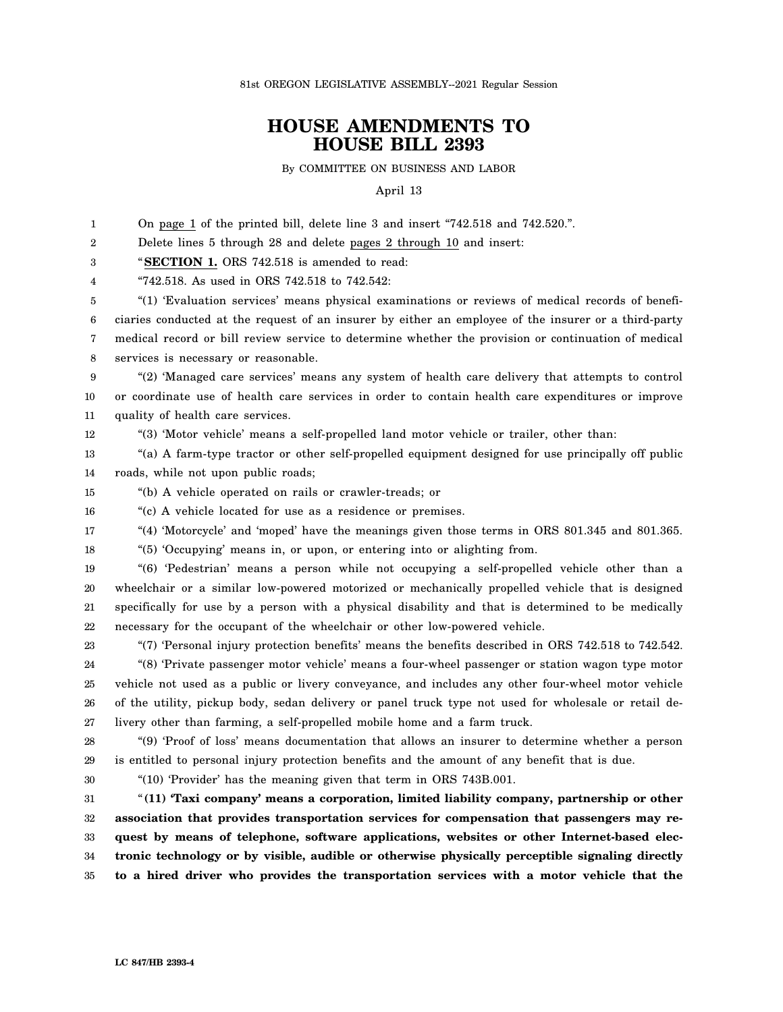81st OREGON LEGISLATIVE ASSEMBLY--2021 Regular Session

## **HOUSE AMENDMENTS TO HOUSE BILL 2393**

By COMMITTEE ON BUSINESS AND LABOR

April 13

1 On page 1 of the printed bill, delete line 3 and insert "742.518 and 742.520.".

2 Delete lines 5 through 28 and delete pages 2 through 10 and insert:

3 "**SECTION 1.** ORS 742.518 is amended to read:

4 "742.518. As used in ORS 742.518 to 742.542:

5 6 7 8 "(1) 'Evaluation services' means physical examinations or reviews of medical records of beneficiaries conducted at the request of an insurer by either an employee of the insurer or a third-party medical record or bill review service to determine whether the provision or continuation of medical services is necessary or reasonable.

9 10 11 "(2) 'Managed care services' means any system of health care delivery that attempts to control or coordinate use of health care services in order to contain health care expenditures or improve quality of health care services.

12 "(3) 'Motor vehicle' means a self-propelled land motor vehicle or trailer, other than:

13 14 "(a) A farm-type tractor or other self-propelled equipment designed for use principally off public roads, while not upon public roads;

15 "(b) A vehicle operated on rails or crawler-treads; or

16 "(c) A vehicle located for use as a residence or premises.

17 "(4) 'Motorcycle' and 'moped' have the meanings given those terms in ORS 801.345 and 801.365.

18 "(5) 'Occupying' means in, or upon, or entering into or alighting from.

19 20 21 22 "(6) 'Pedestrian' means a person while not occupying a self-propelled vehicle other than a wheelchair or a similar low-powered motorized or mechanically propelled vehicle that is designed specifically for use by a person with a physical disability and that is determined to be medically necessary for the occupant of the wheelchair or other low-powered vehicle.

23

24 25 26 27 "(7) 'Personal injury protection benefits' means the benefits described in ORS 742.518 to 742.542. "(8) 'Private passenger motor vehicle' means a four-wheel passenger or station wagon type motor vehicle not used as a public or livery conveyance, and includes any other four-wheel motor vehicle of the utility, pickup body, sedan delivery or panel truck type not used for wholesale or retail delivery other than farming, a self-propelled mobile home and a farm truck.

28 29 "(9) 'Proof of loss' means documentation that allows an insurer to determine whether a person is entitled to personal injury protection benefits and the amount of any benefit that is due.

30

"(10) 'Provider' has the meaning given that term in ORS 743B.001.

31 32 33 34 35 "**(11) 'Taxi company' means a corporation, limited liability company, partnership or other association that provides transportation services for compensation that passengers may request by means of telephone, software applications, websites or other Internet-based electronic technology or by visible, audible or otherwise physically perceptible signaling directly to a hired driver who provides the transportation services with a motor vehicle that the**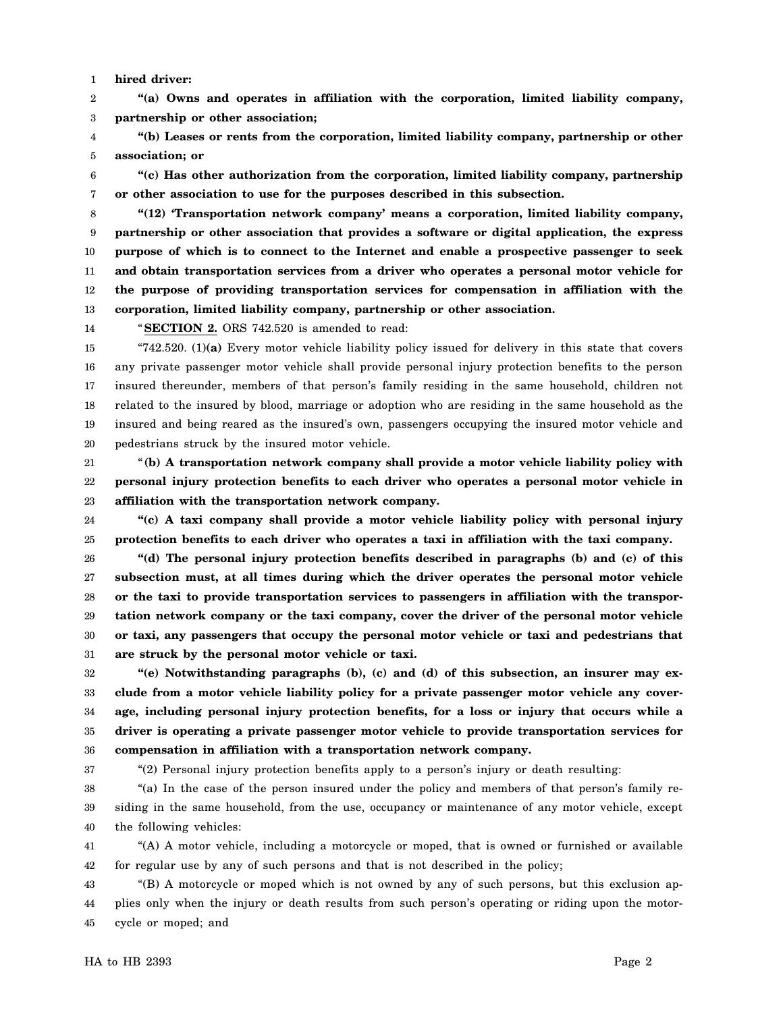1 **hired driver:**

2 3 **"(a) Owns and operates in affiliation with the corporation, limited liability company, partnership or other association;**

4 5 **"(b) Leases or rents from the corporation, limited liability company, partnership or other association; or**

6 7 **"(c) Has other authorization from the corporation, limited liability company, partnership or other association to use for the purposes described in this subsection.**

8 9 10 11 12 13 **"(12) 'Transportation network company' means a corporation, limited liability company, partnership or other association that provides a software or digital application, the express purpose of which is to connect to the Internet and enable a prospective passenger to seek and obtain transportation services from a driver who operates a personal motor vehicle for the purpose of providing transportation services for compensation in affiliation with the corporation, limited liability company, partnership or other association.**

14

"**SECTION 2.** ORS 742.520 is amended to read:

15 16 17 18 19 20 "742.520. (1)**(a)** Every motor vehicle liability policy issued for delivery in this state that covers any private passenger motor vehicle shall provide personal injury protection benefits to the person insured thereunder, members of that person's family residing in the same household, children not related to the insured by blood, marriage or adoption who are residing in the same household as the insured and being reared as the insured's own, passengers occupying the insured motor vehicle and pedestrians struck by the insured motor vehicle.

21 22 23 "**(b) A transportation network company shall provide a motor vehicle liability policy with personal injury protection benefits to each driver who operates a personal motor vehicle in affiliation with the transportation network company.**

24 25 **"(c) A taxi company shall provide a motor vehicle liability policy with personal injury protection benefits to each driver who operates a taxi in affiliation with the taxi company.**

26 27 28 29 30 31 **"(d) The personal injury protection benefits described in paragraphs (b) and (c) of this subsection must, at all times during which the driver operates the personal motor vehicle or the taxi to provide transportation services to passengers in affiliation with the transportation network company or the taxi company, cover the driver of the personal motor vehicle or taxi, any passengers that occupy the personal motor vehicle or taxi and pedestrians that are struck by the personal motor vehicle or taxi.**

32 33 34 35 36 **"(e) Notwithstanding paragraphs (b), (c) and (d) of this subsection, an insurer may exclude from a motor vehicle liability policy for a private passenger motor vehicle any coverage, including personal injury protection benefits, for a loss or injury that occurs while a driver is operating a private passenger motor vehicle to provide transportation services for compensation in affiliation with a transportation network company.**

37

"(2) Personal injury protection benefits apply to a person's injury or death resulting:

38 39 40 "(a) In the case of the person insured under the policy and members of that person's family residing in the same household, from the use, occupancy or maintenance of any motor vehicle, except the following vehicles:

41 42 "(A) A motor vehicle, including a motorcycle or moped, that is owned or furnished or available for regular use by any of such persons and that is not described in the policy;

43 44 45 "(B) A motorcycle or moped which is not owned by any of such persons, but this exclusion applies only when the injury or death results from such person's operating or riding upon the motorcycle or moped; and

HA to HB 2393 Page 2